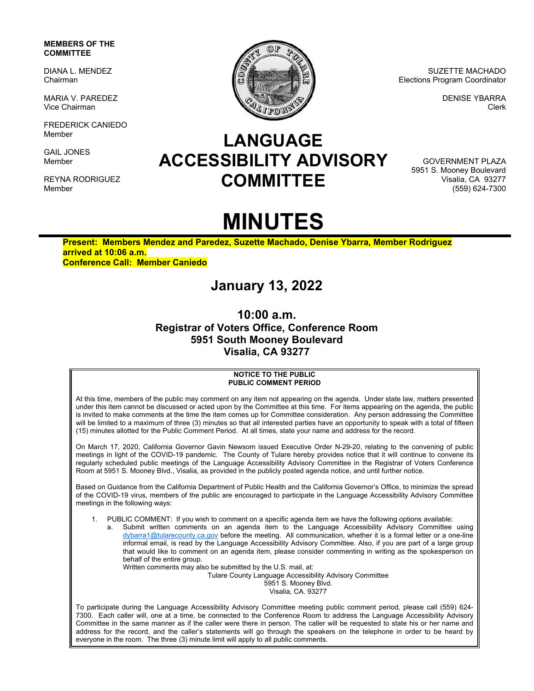### **MEMBERS OF THE COMMITTEE**

DIANA L. MENDEZ Chairman

MARIA V. PAREDEZ Vice Chairman

FREDERICK CANIEDO Member

GAIL JONES Member

REYNA RODRIGUEZ Member



SUZETTE MACHADO Elections Program Coordinator

> DENISE YBARRA Clerk

## **LANGUAGE ACCESSIBILITY ADVISORY COMMITTEE**

GOVERNMENT PLAZA 5951 S. Mooney Boulevard Visalia, CA 93277 (559) 624-7300

# **MINUTES**

**Present: Members Mendez and Paredez, Suzette Machado, Denise Ybarra, Member Rodriguez arrived at 10:06 a.m. Conference Call: Member Caniedo**

### **January 13, 2022**

**10:00 a.m. Registrar of Voters Office, Conference Room 5951 South Mooney Boulevard Visalia, CA 93277** 

#### **NOTICE TO THE PUBLIC PUBLIC COMMENT PERIOD**

At this time, members of the public may comment on any item not appearing on the agenda. Under state law, matters presented under this item cannot be discussed or acted upon by the Committee at this time. For items appearing on the agenda, the public is invited to make comments at the time the item comes up for Committee consideration. Any person addressing the Committee will be limited to a maximum of three (3) minutes so that all interested parties have an opportunity to speak with a total of fifteen (15) minutes allotted for the Public Comment Period. At all times, state your name and address for the record.

On March 17, 2020, California Governor Gavin Newsom issued Executive Order N-29-20, relating to the convening of public meetings in light of the COVID-19 pandemic. The County of Tulare hereby provides notice that it will continue to convene its regularly scheduled public meetings of the Language Accessibility Advisory Committee in the Registrar of Voters Conference Room at 5951 S. Mooney Blvd., Visalia, as provided in the publicly posted agenda notice, and until further notice.

Based on Guidance from the California Department of Public Health and the California Governor's Office, to minimize the spread of the COVID-19 virus, members of the public are encouraged to participate in the Language Accessibility Advisory Committee meetings in the following ways:

1. PUBLIC COMMENT: If you wish to comment on a specific agenda item we have the following options available:

Submit written comments on an agenda item to the Language Accessibility Advisory Committee using dybarra1@tularecounty.ca.gov before the meeting. All communication, whether it is a formal letter or a one-line informal email, is read by the Language Accessibility Advisory Committee. Also, if you are part of a large group that would like to comment on an agenda item, please consider commenting in writing as the spokesperson on behalf of the entire group.

Written comments may also be submitted by the U.S. mail, at: Tulare County Language Accessibility Advisory Committee 5951 S. Mooney Blvd. Visalia, CA. 93277

To participate during the Language Accessibility Advisory Committee meeting public comment period, please call (559) 624- 7300. Each caller will, one at a time, be connected to the Conference Room to address the Language Accessibility Advisory Committee in the same manner as if the caller were there in person. The caller will be requested to state his or her name and address for the record, and the caller's statements will go through the speakers on the telephone in order to be heard by everyone in the room. The three (3) minute limit will apply to all public comments.